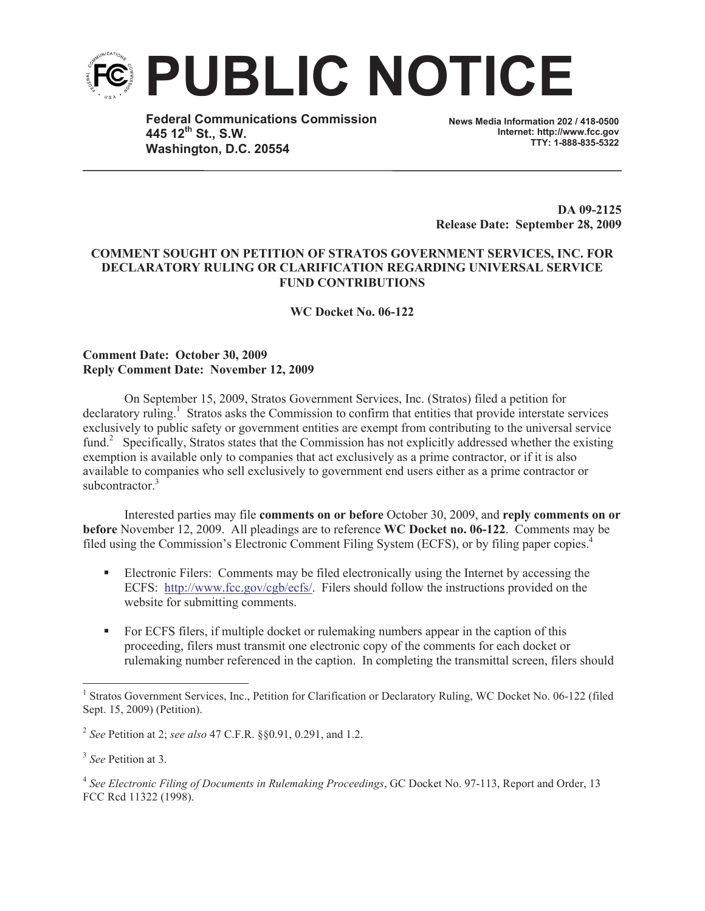

**Federal Communications Commission 445 12th St., S.W. Washington, D.C. 20554**

**News Media Information 202 / 418-0500 Internet: http://www.fcc.gov TTY: 1-888-835-5322**

**DA 09-2125 Release Date: September 28, 2009**

## **COMMENT SOUGHT ON PETITION OF STRATOS GOVERNMENT SERVICES, INC. FOR DECLARATORY RULING OR CLARIFICATION REGARDING UNIVERSAL SERVICE FUND CONTRIBUTIONS**

**WC Docket No. 06-122**

## **Comment Date: October 30, 2009 Reply Comment Date: November 12, 2009**

On September 15, 2009, Stratos Government Services, Inc. (Stratos) filed a petition for declaratory ruling.<sup>1</sup> Stratos asks the Commission to confirm that entities that provide interstate services exclusively to public safety or government entities are exempt from contributing to the universal service fund.<sup>2</sup> Specifically, Stratos states that the Commission has not explicitly addressed whether the existing exemption is available only to companies that act exclusively as a prime contractor, or if it is also available to companies who sell exclusively to government end users either as a prime contractor or subcontractor $3$ 

Interested parties may file **comments on or before** October 30, 2009, and **reply comments on or before** November 12, 2009. All pleadings are to reference **WC Docket no. 06-122**. Comments may be filed using the Commission's Electronic Comment Filing System (ECFS), or by filing paper copies.<sup>4</sup>

- Electronic Filers: Comments may be filed electronically using the Internet by accessing the ECFS: http://www.fcc.gov/cgb/ecfs/. Filers should follow the instructions provided on the website for submitting comments.
- For ECFS filers, if multiple docket or rulemaking numbers appear in the caption of this proceeding, filers must transmit one electronic copy of the comments for each docket or rulemaking number referenced in the caption. In completing the transmittal screen, filers should

<sup>&</sup>lt;sup>1</sup> Stratos Government Services, Inc., Petition for Clarification or Declaratory Ruling, WC Docket No. 06-122 (filed Sept. 15, 2009) (Petition).

<sup>2</sup> *See* Petition at 2; *see also* 47 C.F.R. §§0.91, 0.291, and 1.2.

<sup>3</sup> *See* Petition at 3.

<sup>4</sup> *See Electronic Filing of Documents in Rulemaking Proceedings*, GC Docket No. 97-113, Report and Order, 13 FCC Rcd 11322 (1998).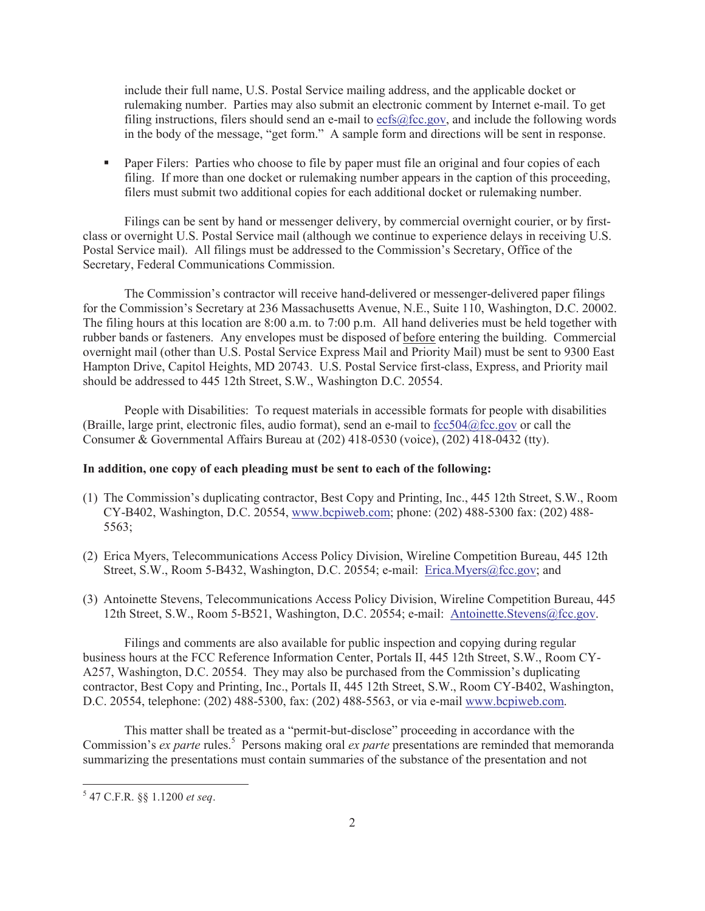include their full name, U.S. Postal Service mailing address, and the applicable docket or rulemaking number. Parties may also submit an electronic comment by Internet e-mail. To get filing instructions, filers should send an e-mail to  $ecfs@fcc.gov$ , and include the following words in the body of the message, "get form." A sample form and directions will be sent in response.

• Paper Filers: Parties who choose to file by paper must file an original and four copies of each filing. If more than one docket or rulemaking number appears in the caption of this proceeding, filers must submit two additional copies for each additional docket or rulemaking number.

Filings can be sent by hand or messenger delivery, by commercial overnight courier, or by firstclass or overnight U.S. Postal Service mail (although we continue to experience delays in receiving U.S. Postal Service mail). All filings must be addressed to the Commission's Secretary, Office of the Secretary, Federal Communications Commission.

The Commission's contractor will receive hand-delivered or messenger-delivered paper filings for the Commission's Secretary at 236 Massachusetts Avenue, N.E., Suite 110, Washington, D.C. 20002. The filing hours at this location are 8:00 a.m. to 7:00 p.m. All hand deliveries must be held together with rubber bands or fasteners. Any envelopes must be disposed of before entering the building. Commercial overnight mail (other than U.S. Postal Service Express Mail and Priority Mail) must be sent to 9300 East Hampton Drive, Capitol Heights, MD 20743. U.S. Postal Service first-class, Express, and Priority mail should be addressed to 445 12th Street, S.W., Washington D.C. 20554.

People with Disabilities: To request materials in accessible formats for people with disabilities (Braille, large print, electronic files, audio format), send an e-mail to fcc504@fcc.gov or call the Consumer & Governmental Affairs Bureau at (202) 418-0530 (voice), (202) 418-0432 (tty).

## **In addition, one copy of each pleading must be sent to each of the following:**

- (1) The Commission's duplicating contractor, Best Copy and Printing, Inc., 445 12th Street, S.W., Room CY-B402, Washington, D.C. 20554, www.bcpiweb.com; phone: (202) 488-5300 fax: (202) 488- 5563;
- (2) Erica Myers, Telecommunications Access Policy Division, Wireline Competition Bureau, 445 12th Street, S.W., Room 5-B432, Washington, D.C. 20554; e-mail: Erica.Myers@fcc.gov; and
- (3) Antoinette Stevens, Telecommunications Access Policy Division, Wireline Competition Bureau, 445 12th Street, S.W., Room 5-B521, Washington, D.C. 20554; e-mail: Antoinette.Stevens@fcc.gov.

Filings and comments are also available for public inspection and copying during regular business hours at the FCC Reference Information Center, Portals II, 445 12th Street, S.W., Room CY-A257, Washington, D.C. 20554. They may also be purchased from the Commission's duplicating contractor, Best Copy and Printing, Inc., Portals II, 445 12th Street, S.W., Room CY-B402, Washington, D.C. 20554, telephone: (202) 488-5300, fax: (202) 488-5563, or via e-mail www.bcpiweb.com.

This matter shall be treated as a "permit-but-disclose" proceeding in accordance with the Commission's *ex parte* rules.<sup>5</sup> Persons making oral *ex parte* presentations are reminded that memoranda summarizing the presentations must contain summaries of the substance of the presentation and not

<sup>5</sup> 47 C.F.R. §§ 1.1200 *et seq*.